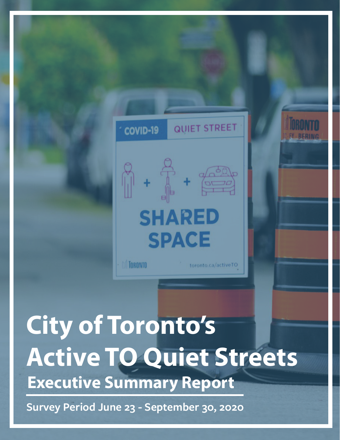

### **Executive Summary Report City of Toronto's Active TO Quiet Streets**

**Survey Period June 23 - September 30, 2020**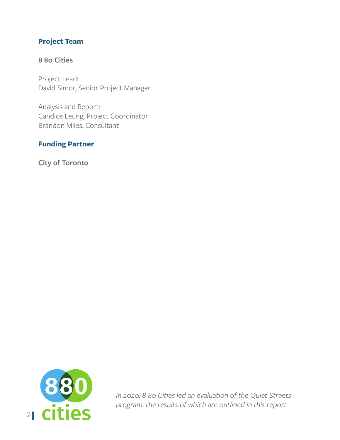#### **Project Team**

#### **8 80 Cities**

Project Lead: David Simor, Senior Project Manager

Analysis and Report: Candice Leung, Project Coordinator Brandon Miles, Consultant

#### **Funding Partner**

**City of Toronto**



*In 2020, 8 80 Cities led an evaluation of the Quiet Streets program, the results of which are outlined in this report.*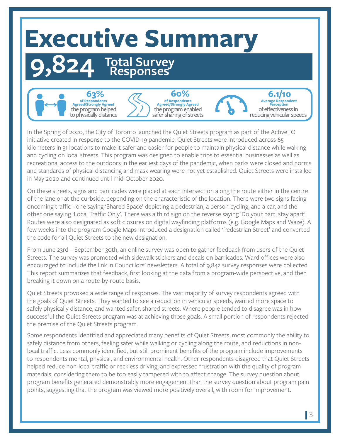# **Executive Summary**

## **9,824 Total Survey Responses**



In the Spring of 2020, the City of Toronto launched the Quiet Streets program as part of the ActiveTO initiative created in response to the COVID-19 pandemic. Quiet Streets were introduced across 65 kilometers in 31 locations to make it safer and easier for people to maintain physical distance while walking and cycling on local streets. This program was designed to enable trips to essential businesses as well as recreational access to the outdoors in the earliest days of the pandemic, when parks were closed and norms and standards of physical distancing and mask wearing were not yet established. Quiet Streets were installed in May 2020 and continued until mid-October 2020.

On these streets, signs and barricades were placed at each intersection along the route either in the centre of the lane or at the curbside, depending on the characteristic of the location. There were two signs facing oncoming traffic - one saying 'Shared Space' depicting a pedestrian, a person cycling, and a car, and the other one saying 'Local Traffic Only'. There was a third sign on the reverse saying 'Do your part, stay apart'. Routes were also designated as soft closures on digital wayfinding platforms (e.g. Google Maps and Waze). A few weeks into the program Google Maps introduced a designation called 'Pedestrian Street' and converted the code for all Quiet Streets to the new designation.

From June 23rd – September 30th, an online survey was open to gather feedback from users of the Quiet Streets. The survey was promoted with sidewalk stickers and decals on barricades. Ward offices were also encouraged to include the link in Councillors' newsletters. A total of 9,842 survey responses were collected. This report summarizes that feedback, first looking at the data from a program-wide perspective, and then breaking it down on a route-by-route basis.

Quiet Streets provoked a wide range of responses. The vast majority of survey respondents agreed with the goals of Quiet Streets. They wanted to see a reduction in vehicular speeds, wanted more space to safely physically distance, and wanted safer, shared streets. Where people tended to disagree was in how successful the Quiet Streets program was at achieving those goals. A small portion of respondents rejected the premise of the Quiet Streets program.

Some respondents identified and appreciated many benefits of Quiet Streets, most commonly the ability to safely distance from others, feeling safer while walking or cycling along the route, and reductions in nonlocal traffic. Less commonly identified, but still prominent benefits of the program include improvements to respondents mental, physical, and environmental health. Other respondents disagreed that Quiet Streets helped reduce non-local traffic or reckless driving, and expressed frustration with the quality of program materials, considering them to be too easily tampered with to affect change. The survey question about program benefits generated demonstrably more engagement than the survey question about program pain points, suggesting that the program was viewed more positively overall, with room for improvement.